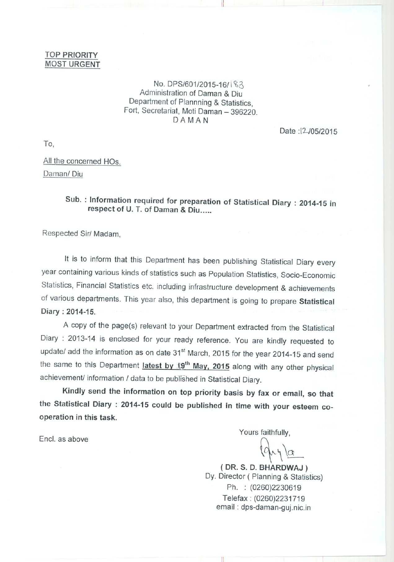## TOP PRIORITY **MOST URGENT**

## No. DPS/601/2015-16/<sup>183</sup> Administration of Daman & Diu Department of Plannning & Statistics, Fort, Secretariat, Moti Daman - 396220. DAMAN

u

Date: 12/05/2015

To,

All the concerned HOs. Daman/ Diu

## **Sub. : Information required for preparation of Statistical Diary** : **2014-15 in respect** of U. T. **of Daman & Diu.....**

Respected Sir/ Madam,

It is to inform that this Department has been publishing Statistical Diary every year containing various kinds of statistics such as Population Statistics, Socio-Economic Statistics, Financial Statistics etc. including infrastructure development & achievements of various departments. This year also, this department is going to prepare **Statistical** Diary : 2014-15.

A copy of the page(s) relevant to your Department extracted from the Statistical Diary : 2013-14 is enclosed for your ready reference. You are kindly requested to update/ add the information as on date 31<sup>st</sup> March, 2015 for the year 2014-15 and send the same to this Department **latest by 19<sup>th</sup> May, 2015** along with any other physical achievement/ information / data to be published in Statistical Diary.

Kindly **send the information on top priority basis by fax or email** , **so that the Statistical Diary** : 2014-**15 could be published in time with your esteem cooperation in this task.**

Encl. as above

Yours faithfully,

**(DR. S. D** . **BHARDWAJ)** Dy. Director ( **Planning & Statistics)** Ph. : (0260)2230619 Telefax : (0260)2231719 **email : dps**-**daman-guj.nic.in**